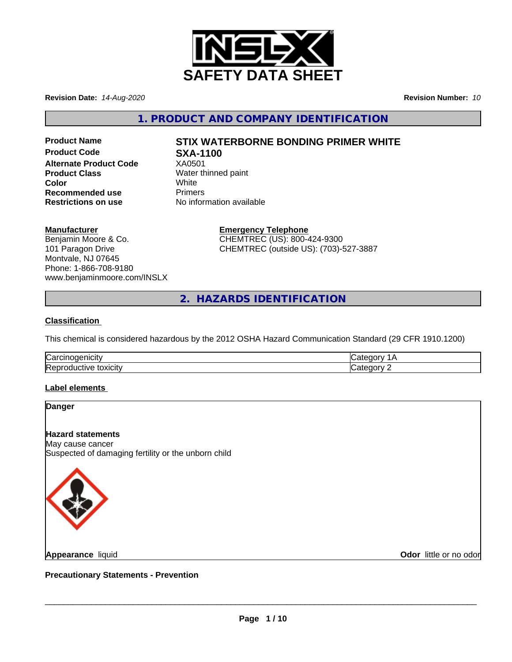

**Revision Date:** *14-Aug-2020* **Revision Number:** *10*

**1. PRODUCT AND COMPANY IDENTIFICATION**

**Product Code SXA-1100 Alternate Product Code** XA0501 **Product Class** Water thinned paint **Color** White White **Recommended use** Primers<br> **Restrictions on use** No inform

# **Product Name STIX WATERBORNE BONDING PRIMER WHITE**

**No information available** 

## **Manufacturer**

Benjamin Moore & Co. 101 Paragon Drive Montvale, NJ 07645 Phone: 1-866-708-9180 www.benjaminmoore.com/INSLX

### **Emergency Telephone** CHEMTREC (US): 800-424-9300

CHEMTREC (outside US): (703)-527-3887

**2. HAZARDS IDENTIFICATION**

## **Classification**

This chemical is considered hazardous by the 2012 OSHA Hazard Communication Standard (29 CFR 1910.1200)

| ∽<br>- - - -<br>ا اخت |  |
|-----------------------|--|
|                       |  |

## **Label elements**

### **Danger**

# **Hazard statements**

May cause cancer Suspected of damaging fertility or the unborn child



**Appearance** liquid

**Odor** little or no odor

**Precautionary Statements - Prevention**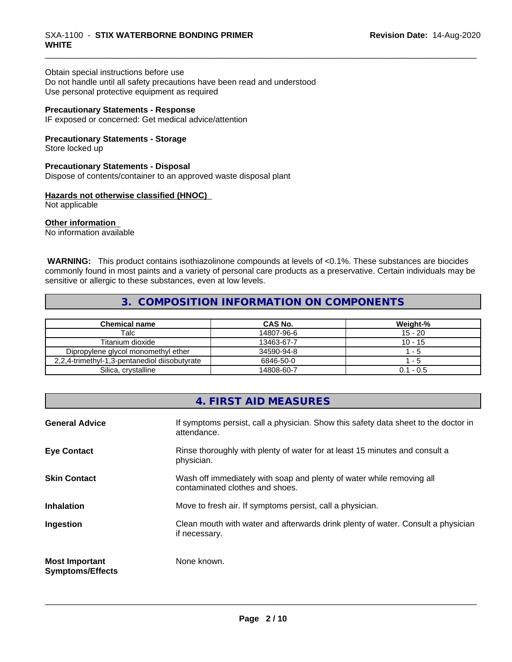#### \_\_\_\_\_\_\_\_\_\_\_\_\_\_\_\_\_\_\_\_\_\_\_\_\_\_\_\_\_\_\_\_\_\_\_\_\_\_\_\_\_\_\_\_\_\_\_\_\_\_\_\_\_\_\_\_\_\_\_\_\_\_\_\_\_\_\_\_\_\_\_\_\_\_\_\_\_\_\_\_\_\_\_\_\_\_\_\_\_\_\_\_\_ SXA-1100 - **STIX WATERBORNE BONDING PRIMER WHITE**

Obtain special instructions before use

Do not handle until all safety precautions have been read and understood Use personal protective equipment as required

## **Precautionary Statements - Response**

IF exposed or concerned: Get medical advice/attention

#### **Precautionary Statements - Storage**

Store locked up

## **Precautionary Statements - Disposal**

Dispose of contents/container to an approved waste disposal plant

### **Hazards not otherwise classified (HNOC)**

Not applicable

#### **Other information**

No information available

 **WARNING:** This product contains isothiazolinone compounds at levels of <0.1%. These substances are biocides commonly found in most paints and a variety of personal care products as a preservative. Certain individuals may be sensitive or allergic to these substances, even at low levels.

# **3. COMPOSITION INFORMATION ON COMPONENTS**

| Chemical name                                 | CAS No.    | Weight-%    |
|-----------------------------------------------|------------|-------------|
| Talc                                          | 14807-96-6 | $15 - 20$   |
| Titanium dioxide                              | 13463-67-7 | $10 - 15$   |
| Dipropylene glycol monomethyl ether           | 34590-94-8 | - 5         |
| 2.2.4-trimethyl-1.3-pentanediol diisobutyrate | 6846-50-0  | - 5         |
| Silica, crystalline                           | 14808-60-7 | $0.1 - 0.5$ |

|                                                  | 4. FIRST AID MEASURES                                                                                    |
|--------------------------------------------------|----------------------------------------------------------------------------------------------------------|
| <b>General Advice</b>                            | If symptoms persist, call a physician. Show this safety data sheet to the doctor in<br>attendance.       |
| <b>Eye Contact</b>                               | Rinse thoroughly with plenty of water for at least 15 minutes and consult a<br>physician.                |
| <b>Skin Contact</b>                              | Wash off immediately with soap and plenty of water while removing all<br>contaminated clothes and shoes. |
| <b>Inhalation</b>                                | Move to fresh air. If symptoms persist, call a physician.                                                |
| Ingestion                                        | Clean mouth with water and afterwards drink plenty of water. Consult a physician<br>if necessary.        |
| <b>Most Important</b><br><b>Symptoms/Effects</b> | None known.                                                                                              |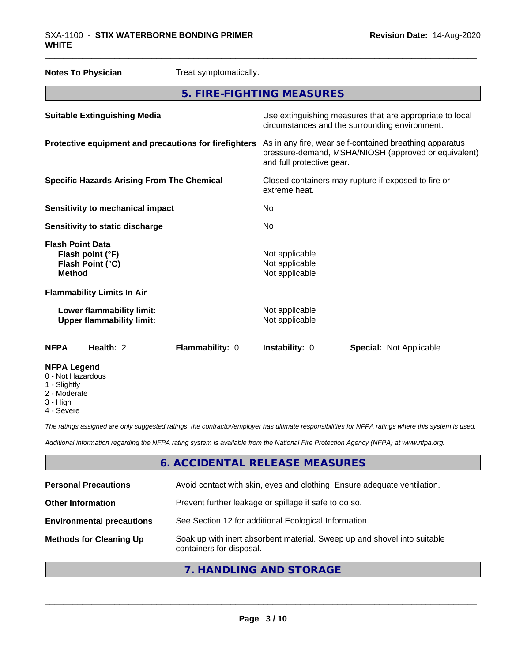### \_\_\_\_\_\_\_\_\_\_\_\_\_\_\_\_\_\_\_\_\_\_\_\_\_\_\_\_\_\_\_\_\_\_\_\_\_\_\_\_\_\_\_\_\_\_\_\_\_\_\_\_\_\_\_\_\_\_\_\_\_\_\_\_\_\_\_\_\_\_\_\_\_\_\_\_\_\_\_\_\_\_\_\_\_\_\_\_\_\_\_\_\_ SXA-1100 - **STIX WATERBORNE BONDING PRIMER WHITE**

| <b>Notes To Physician</b>                                                        | Treat symptomatically.    |                                                    |                                                                                                                 |  |
|----------------------------------------------------------------------------------|---------------------------|----------------------------------------------------|-----------------------------------------------------------------------------------------------------------------|--|
|                                                                                  | 5. FIRE-FIGHTING MEASURES |                                                    |                                                                                                                 |  |
| <b>Suitable Extinguishing Media</b>                                              |                           |                                                    | Use extinguishing measures that are appropriate to local<br>circumstances and the surrounding environment.      |  |
| Protective equipment and precautions for firefighters                            |                           | and full protective gear.                          | As in any fire, wear self-contained breathing apparatus<br>pressure-demand, MSHA/NIOSH (approved or equivalent) |  |
| <b>Specific Hazards Arising From The Chemical</b>                                |                           | extreme heat.                                      | Closed containers may rupture if exposed to fire or                                                             |  |
| <b>Sensitivity to mechanical impact</b>                                          |                           | No                                                 |                                                                                                                 |  |
| Sensitivity to static discharge                                                  |                           | No                                                 |                                                                                                                 |  |
| <b>Flash Point Data</b><br>Flash point (°F)<br>Flash Point (°C)<br><b>Method</b> |                           | Not applicable<br>Not applicable<br>Not applicable |                                                                                                                 |  |
| <b>Flammability Limits In Air</b>                                                |                           |                                                    |                                                                                                                 |  |
| Lower flammability limit:<br><b>Upper flammability limit:</b>                    |                           | Not applicable<br>Not applicable                   |                                                                                                                 |  |
| <b>NFPA</b><br>Health: 2                                                         | Flammability: 0           | Instability: 0                                     | <b>Special: Not Applicable</b>                                                                                  |  |
| <b>NFPA Legend</b><br>0 - Not Hazardous<br>1 - Slightly                          |                           |                                                    |                                                                                                                 |  |

- Slightly
- 2 Moderate
- 3 High
- 4 Severe

*The ratings assigned are only suggested ratings, the contractor/employer has ultimate responsibilities for NFPA ratings where this system is used.*

*Additional information regarding the NFPA rating system is available from the National Fire Protection Agency (NFPA) at www.nfpa.org.*

# **6. ACCIDENTAL RELEASE MEASURES**

| <b>Personal Precautions</b>      | Avoid contact with skin, eyes and clothing. Ensure adequate ventilation.                             |
|----------------------------------|------------------------------------------------------------------------------------------------------|
| <b>Other Information</b>         | Prevent further leakage or spillage if safe to do so.                                                |
| <b>Environmental precautions</b> | See Section 12 for additional Ecological Information.                                                |
| <b>Methods for Cleaning Up</b>   | Soak up with inert absorbent material. Sweep up and shovel into suitable<br>containers for disposal. |
|                                  |                                                                                                      |

# **7. HANDLING AND STORAGE**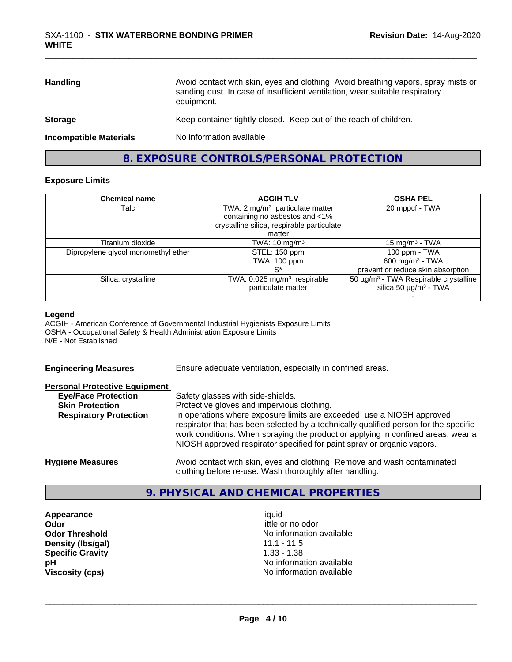| <b>Handling</b>               | Avoid contact with skin, eyes and clothing. Avoid breathing vapors, spray mists or<br>sanding dust. In case of insufficient ventilation, wear suitable respiratory<br>equipment. |
|-------------------------------|----------------------------------------------------------------------------------------------------------------------------------------------------------------------------------|
| <b>Storage</b>                | Keep container tightly closed. Keep out of the reach of children.                                                                                                                |
| <b>Incompatible Materials</b> | No information available                                                                                                                                                         |
|                               |                                                                                                                                                                                  |

# **8. EXPOSURE CONTROLS/PERSONAL PROTECTION**

### **Exposure Limits**

| <b>Chemical name</b>                | <b>ACGIH TLV</b>                            | <b>OSHA PEL</b>                                   |
|-------------------------------------|---------------------------------------------|---------------------------------------------------|
| Talc                                | TWA: 2 mg/m <sup>3</sup> particulate matter | 20 mppcf - TWA                                    |
|                                     | containing no asbestos and <1%              |                                                   |
|                                     | crystalline silica, respirable particulate  |                                                   |
|                                     | matter                                      |                                                   |
| Titanium dioxide                    | TWA: 10 mg/m $3$                            | 15 mg/m <sup>3</sup> - TWA                        |
| Dipropylene glycol monomethyl ether | STEL: 150 ppm                               | 100 ppm - TWA                                     |
|                                     | <b>TWA: 100 ppm</b>                         | $600 \text{ mg/m}^3$ - TWA                        |
|                                     | S*                                          | prevent or reduce skin absorption                 |
| Silica, crystalline                 | TWA: 0.025 mg/m <sup>3</sup> respirable     | 50 µg/m <sup>3</sup> - TWA Respirable crystalline |
|                                     | particulate matter                          | silica 50 $\mu$ g/m <sup>3</sup> - TWA            |
|                                     |                                             |                                                   |

#### **Legend**

ACGIH - American Conference of Governmental Industrial Hygienists Exposure Limits OSHA - Occupational Safety & Health Administration Exposure Limits N/E - Not Established

| <b>Engineering Measures</b>          | Ensure adequate ventilation, especially in confined areas.                                                                                                                                                                                                                                                                   |
|--------------------------------------|------------------------------------------------------------------------------------------------------------------------------------------------------------------------------------------------------------------------------------------------------------------------------------------------------------------------------|
| <b>Personal Protective Equipment</b> |                                                                                                                                                                                                                                                                                                                              |
| <b>Eye/Face Protection</b>           | Safety glasses with side-shields.                                                                                                                                                                                                                                                                                            |
| <b>Skin Protection</b>               | Protective gloves and impervious clothing.                                                                                                                                                                                                                                                                                   |
| <b>Respiratory Protection</b>        | In operations where exposure limits are exceeded, use a NIOSH approved<br>respirator that has been selected by a technically qualified person for the specific<br>work conditions. When spraying the product or applying in confined areas, wear a<br>NIOSH approved respirator specified for paint spray or organic vapors. |
| <b>Hygiene Measures</b>              | Avoid contact with skin, eyes and clothing. Remove and wash contaminated<br>clothing before re-use. Wash thoroughly after handling.                                                                                                                                                                                          |

# **9. PHYSICAL AND CHEMICAL PROPERTIES**

**Appearance** liquid **and a limitation of the contract of the contract of the contract of the contract of the contract of the contract of the contract of the contract of the contract of the contract of the contract of the c Odor**<br> **Odor Threshold**<br> **Odor Threshold**<br> **Odor Threshold**<br> **Odor Integrals Density (Ibs/gal)** 11.1 - 11.5<br>**Specific Gravity** 1.33 - 1.38 **Specific Gravity** 

**No information available pH** No information available **Viscosity (cps)** No information available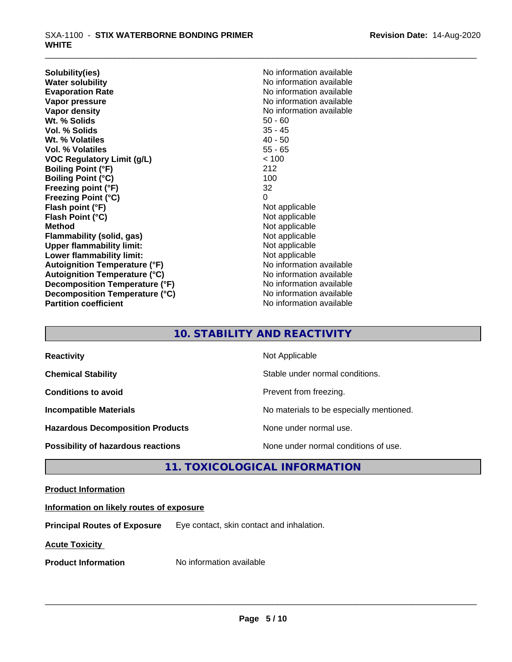**Solubility(ies)** No information available **Water solubility**<br> **Evaporation Rate**<br> **Evaporation Rate**<br> **Evaporation Rate Vapor pressure**<br> **Vapor density**<br> **Vapor density**<br> **Vapor density**<br> **Vapor density Wt. % Solids** 50 - 60 **Vol. % Solids** 35 - 45 Wt. % Volatiles **Vol. % Volatiles** 55 - 65 **VOC Regulatory Limit (g/L)** < 100 **Boiling Point (°F)** 212 **Boiling Point (°C)** 100 **Freezing point (°F)** 32 **Freezing Point (°C)** 0 **Flash point (°F)** Not applicable **Flash Point (°C)** Not applicable **Method** Not applicable **Flammability (solid, gas)** Not applicable **Upper flammability limit:**<br> **Lower flammability limit:**<br>
Not applicable<br>
Not applicable **Lower flammability limit: Autoignition Temperature (°F)** No information available **Autoignition Temperature (°C)** No information available **Decomposition Temperature (°F)** No information available **Decomposition Temperature (°C)** No information available<br> **Partition coefficient Partition available Partition coefficient** 

**Evaporation Rate** No information available **No information available** 

# **10. STABILITY AND REACTIVITY**

| <b>Reactivity</b>                       | Not Applicable                           |
|-----------------------------------------|------------------------------------------|
| <b>Chemical Stability</b>               | Stable under normal conditions.          |
| <b>Conditions to avoid</b>              | Prevent from freezing.                   |
| <b>Incompatible Materials</b>           | No materials to be especially mentioned. |
| <b>Hazardous Decomposition Products</b> | None under normal use.                   |
| Possibility of hazardous reactions      | None under normal conditions of use.     |

# **11. TOXICOLOGICAL INFORMATION**

## **Product Information**

## **Information on likely routes of exposure**

**Principal Routes of Exposure** Eye contact, skin contact and inhalation.

**Acute Toxicity** 

**Product Information** No information available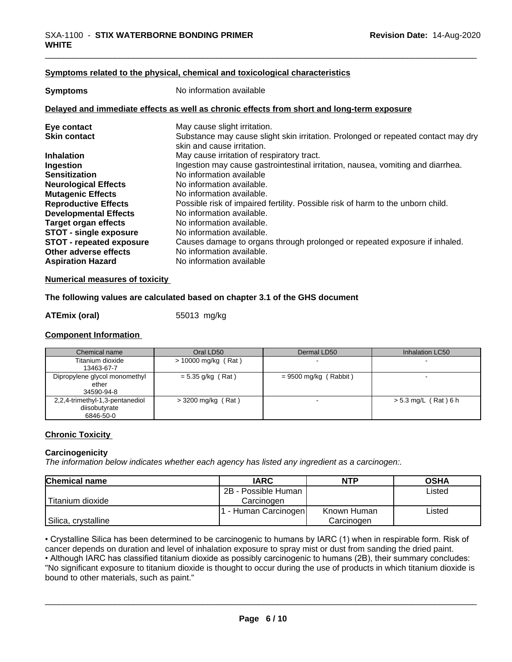#### **<u>Symptoms related to the physical, chemical and toxicological characteristics</u>**

| <b>Symptoms</b>                 | No information available                                                                                        |
|---------------------------------|-----------------------------------------------------------------------------------------------------------------|
|                                 | Delayed and immediate effects as well as chronic effects from short and long-term exposure                      |
| Eye contact                     | May cause slight irritation.                                                                                    |
| <b>Skin contact</b>             | Substance may cause slight skin irritation. Prolonged or repeated contact may dry<br>skin and cause irritation. |
| <b>Inhalation</b>               | May cause irritation of respiratory tract.                                                                      |
| Ingestion                       | Ingestion may cause gastrointestinal irritation, nausea, vomiting and diarrhea.                                 |
| <b>Sensitization</b>            | No information available                                                                                        |
| <b>Neurological Effects</b>     | No information available.                                                                                       |
| <b>Mutagenic Effects</b>        | No information available.                                                                                       |
| <b>Reproductive Effects</b>     | Possible risk of impaired fertility. Possible risk of harm to the unborn child.                                 |
| <b>Developmental Effects</b>    | No information available.                                                                                       |
| <b>Target organ effects</b>     | No information available.                                                                                       |
| <b>STOT - single exposure</b>   | No information available.                                                                                       |
| <b>STOT - repeated exposure</b> | Causes damage to organs through prolonged or repeated exposure if inhaled.                                      |
| Other adverse effects           | No information available.                                                                                       |
| <b>Aspiration Hazard</b>        | No information available                                                                                        |

#### **Numerical measures of toxicity**

#### **The following values are calculated based on chapter 3.1 of the GHS document**

**ATEmix (oral)** 55013 mg/kg

#### **Component Information**

| Chemical name                                                 | Oral LD50             | Dermal LD50             | Inhalation LC50        |
|---------------------------------------------------------------|-----------------------|-------------------------|------------------------|
| Titanium dioxide<br>13463-67-7                                | $> 10000$ mg/kg (Rat) |                         |                        |
| Dipropylene glycol monomethyl<br>ether<br>34590-94-8          | $= 5.35$ g/kg (Rat)   | $= 9500$ mg/kg (Rabbit) |                        |
| 2,2,4-trimethyl-1,3-pentanediol<br>diisobutyrate<br>6846-50-0 | $>$ 3200 mg/kg (Rat)  |                         | $> 5.3$ mg/L (Rat) 6 h |

#### **Chronic Toxicity**

#### **Carcinogenicity**

*The information below indicateswhether each agency has listed any ingredient as a carcinogen:.*

| <b>Chemical name</b> | <b>IARC</b>          | <b>NTP</b>  | <b>OSHA</b> |
|----------------------|----------------------|-------------|-------------|
|                      | 2B - Possible Human  |             | Listed      |
| Titanium dioxide     | Carcinoɑen           |             |             |
|                      | . - Human Carcinogen | Known Human | Listed      |
| Silica, crystalline  |                      | Carcinogen  |             |

cancer depends on duration and level of inhalation exposure to spray mist or dust from sanding the dried paint.

• Crystalline Silica has been determined to be carcinogenic to humans by IARC (1) when in respirable form. Risk of cancer depends on duration and level of inhalation exposure to spray mist or dust from sanding the dried pa • Although IARC has classified titanium dioxide as possibly carcinogenic to humans (2B), their summary concludes: "No significant exposure to titanium dioxide is thought to occur during the use of products in which titanium dioxide is bound to other materials, such as paint."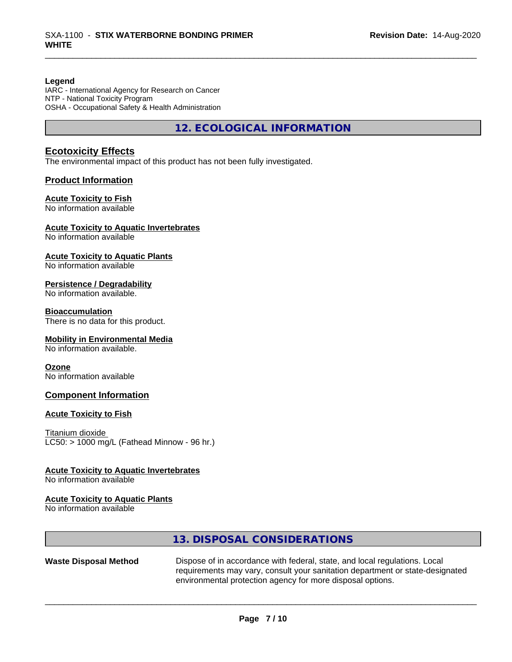#### **Legend**

IARC - International Agency for Research on Cancer NTP - National Toxicity Program OSHA - Occupational Safety & Health Administration

**12. ECOLOGICAL INFORMATION**

### **Ecotoxicity Effects**

The environmental impact of this product has not been fully investigated.

#### **Product Information**

#### **Acute Toxicity to Fish**

No information available

### **Acute Toxicity to Aquatic Invertebrates**

No information available

#### **Acute Toxicity to Aquatic Plants**

No information available

#### **Persistence / Degradability**

No information available.

#### **Bioaccumulation**

There is no data for this product.

#### **Mobility in Environmental Media**

No information available.

#### **Ozone**

No information available

#### **Component Information**

#### **Acute Toxicity to Fish**

Titanium dioxide  $LC50:$  > 1000 mg/L (Fathead Minnow - 96 hr.)

#### **Acute Toxicity to Aquatic Invertebrates**

No information available

#### **Acute Toxicity to Aquatic Plants**

No information available

# **13. DISPOSAL CONSIDERATIONS**

Waste Disposal Method Dispose of in accordance with federal, state, and local regulations. Local requirements may vary, consult your sanitation department or state-designated environmental protection agency for more disposal options.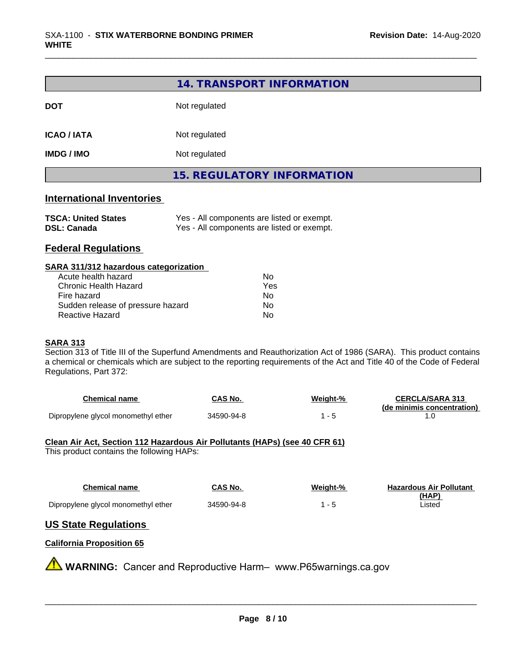|                                                              | 14. TRANSPORT INFORMATION                                                                |
|--------------------------------------------------------------|------------------------------------------------------------------------------------------|
| <b>DOT</b>                                                   | Not regulated                                                                            |
| <b>ICAO / IATA</b>                                           | Not regulated                                                                            |
| <b>IMDG / IMO</b>                                            | Not regulated                                                                            |
|                                                              | <b>15. REGULATORY INFORMATION</b>                                                        |
| <b>International Inventories</b>                             |                                                                                          |
| <b>TSCA: United States</b><br><b>DSL: Canada</b>             | Yes - All components are listed or exempt.<br>Yes - All components are listed or exempt. |
| <b>Federal Regulations</b>                                   |                                                                                          |
| SARA 311/312 hazardous categorization<br>Acute health hazard | N <sub>0</sub>                                                                           |

| Acute health hazard               | Nο   |
|-----------------------------------|------|
| Chronic Health Hazard             | Yes. |
| Fire hazard                       | N٥   |
| Sudden release of pressure hazard | N٥   |
| Reactive Hazard                   | N٥   |

#### **SARA 313**

Section 313 of Title III of the Superfund Amendments and Reauthorization Act of 1986 (SARA). This product contains a chemical or chemicals which are subject to the reporting requirements of the Act and Title 40 of the Code of Federal Regulations, Part 372:

| Chemical name                       | CAS No.    | Weight-% | <b>CERCLA/SARA 313</b>     |
|-------------------------------------|------------|----------|----------------------------|
|                                     |            |          | (de minimis concentration) |
| Dipropylene glycol monomethyl ether | 34590-94-8 |          |                            |

#### **Clean Air Act,Section 112 Hazardous Air Pollutants (HAPs) (see 40 CFR 61)**

This product contains the following HAPs:

| Chemical name                       | <b>CAS No.</b> | Weight-% | <b>Hazardous Air Pollutant</b> |
|-------------------------------------|----------------|----------|--------------------------------|
|                                     |                |          | (HAP)                          |
| Dipropylene glycol monomethyl ether | 34590-94-8     |          | Listed                         |

# **US State Regulations**

# **California Proposition 65**

**A** WARNING: Cancer and Reproductive Harm– www.P65warnings.ca.gov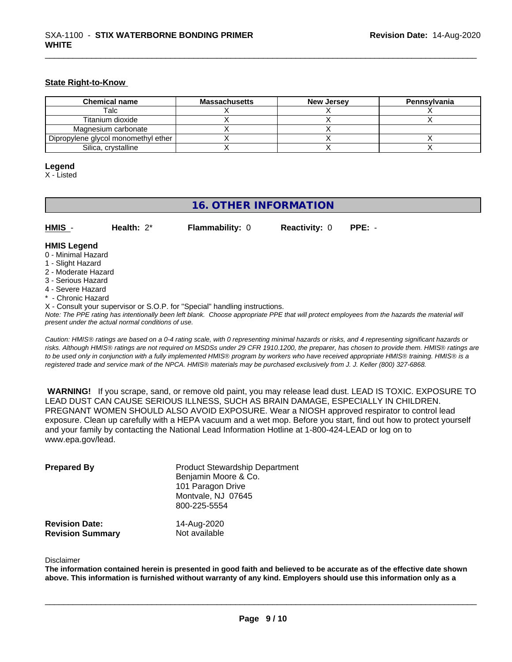## **State Right-to-Know**

| <b>Chemical name</b>                | <b>Massachusetts</b> | <b>New Jersey</b> | Pennsylvania |
|-------------------------------------|----------------------|-------------------|--------------|
| Talc                                |                      |                   |              |
| Titanium dioxide                    |                      |                   |              |
| Magnesium carbonate                 |                      |                   |              |
| Dipropylene glycol monomethyl ether |                      |                   |              |
| Silica, crystalline                 |                      |                   |              |

# **Legend**

X - Listed

# **16. OTHER INFORMATION**

**HMIS** - **Health:** 2\* **Flammability:** 0 **Reactivity:** 0 **PPE:** -

# **HMIS Legend**

- 0 Minimal Hazard
- 1 Slight Hazard
- 2 Moderate Hazard
- 3 Serious Hazard
- 4 Severe Hazard
- \* Chronic Hazard
- X Consult your supervisor or S.O.P. for "Special" handling instructions.

*Note: The PPE rating has intentionally been left blank. Choose appropriate PPE that will protect employees from the hazards the material will present under the actual normal conditions of use.*

*Caution: HMISÒ ratings are based on a 0-4 rating scale, with 0 representing minimal hazards or risks, and 4 representing significant hazards or risks. Although HMISÒ ratings are not required on MSDSs under 29 CFR 1910.1200, the preparer, has chosen to provide them. HMISÒ ratings are to be used only in conjunction with a fully implemented HMISÒ program by workers who have received appropriate HMISÒ training. HMISÒ is a registered trade and service mark of the NPCA. HMISÒ materials may be purchased exclusively from J. J. Keller (800) 327-6868.*

 **WARNING!** If you scrape, sand, or remove old paint, you may release lead dust. LEAD IS TOXIC. EXPOSURE TO LEAD DUST CAN CAUSE SERIOUS ILLNESS, SUCH AS BRAIN DAMAGE, ESPECIALLY IN CHILDREN. PREGNANT WOMEN SHOULD ALSO AVOID EXPOSURE.Wear a NIOSH approved respirator to control lead exposure. Clean up carefully with a HEPA vacuum and a wet mop. Before you start, find out how to protect yourself and your family by contacting the National Lead Information Hotline at 1-800-424-LEAD or log on to www.epa.gov/lead.

| <b>Prepared By</b>                               | <b>Product Stewardship Department</b><br>Benjamin Moore & Co.<br>101 Paragon Drive<br>Montvale, NJ 07645<br>800-225-5554 |  |
|--------------------------------------------------|--------------------------------------------------------------------------------------------------------------------------|--|
| <b>Revision Date:</b><br><b>Revision Summary</b> | 14-Aug-2020<br>Not available                                                                                             |  |

#### Disclaimer

The information contained herein is presented in good faith and believed to be accurate as of the effective date shown above. This information is furnished without warranty of any kind. Employers should use this information only as a